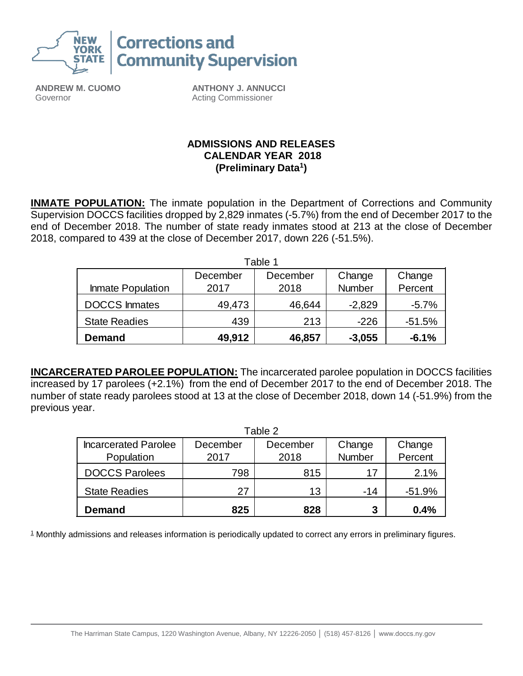

**ANDREW M. CUOMO** Governor

**ANTHONY J. ANNUCCI** Acting Commissioner

## **ADMISSIONS AND RELEASES CALENDAR YEAR 2018 (Preliminary Data<sup>1</sup> )**

**INMATE POPULATION:** The inmate population in the Department of Corrections and Community Supervision DOCCS facilities dropped by 2,829 inmates (-5.7%) from the end of December 2017 to the end of December 2018. The number of state ready inmates stood at 213 at the close of December 2018, compared to 439 at the close of December 2017, down 226 (-51.5%).

|                      |          | Table 1  |          |          |
|----------------------|----------|----------|----------|----------|
|                      | December | December | Change   | Change   |
| Inmate Population    | 2017     | 2018     | Number   | Percent  |
| <b>DOCCS</b> Inmates | 49,473   | 46,644   | $-2,829$ | $-5.7%$  |
| <b>State Readies</b> | 439      | 213      | $-226$   | $-51.5%$ |
| <b>Demand</b>        | 49,912   | 46,857   | $-3,055$ | $-6.1%$  |

**INCARCERATED PAROLEE POPULATION:** The incarcerated parolee population in DOCCS facilities increased by 17 parolees (+2.1%) from the end of December 2017 to the end of December 2018. The number of state ready parolees stood at 13 at the close of December 2018, down 14 (-51.9%) from the previous year.

|                             |          | Table 2  |        |         |  |
|-----------------------------|----------|----------|--------|---------|--|
| <b>Incarcerated Parolee</b> | December | December | Change | Change  |  |
| Population                  | 2017     | 2018     | Number | Percent |  |
| <b>DOCCS Parolees</b>       | 798      | 815      | 17     | 2.1%    |  |
| <b>State Readies</b>        | 27       | 13       | $-14$  | -51.9%  |  |
| <b>Demand</b>               | 825      | 828      | 3      | 0.4%    |  |

<sup>1</sup> Monthly admissions and releases information is periodically updated to correct any errors in preliminary figures.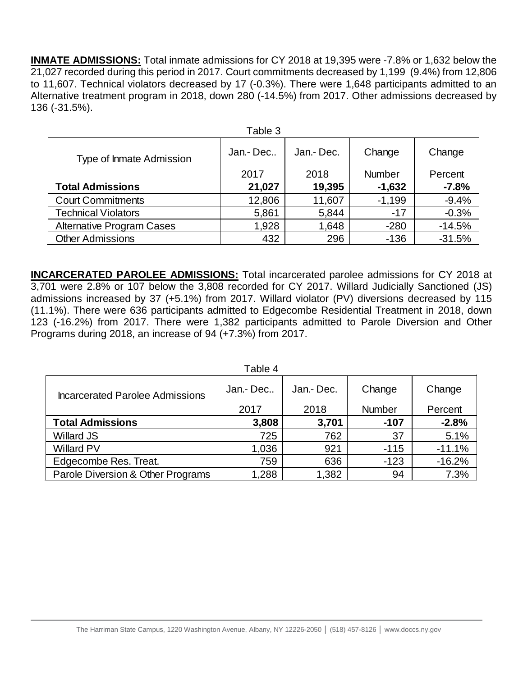**INMATE ADMISSIONS:** Total inmate admissions for CY 2018 at 19,395 were -7.8% or 1,632 below the 21,027 recorded during this period in 2017. Court commitments decreased by 1,199 (9.4%) from 12,806 to 11,607. Technical violators decreased by 17 (-0.3%). There were 1,648 participants admitted to an Alternative treatment program in 2018, down 280 (-14.5%) from 2017. Other admissions decreased by 136 (-31.5%).

|                                  | Table 3  |            |               |          |
|----------------------------------|----------|------------|---------------|----------|
| Type of Inmate Admission         | Jan.-Dec | Jan.- Dec. | Change        | Change   |
|                                  | 2017     | 2018       | <b>Number</b> | Percent  |
| <b>Total Admissions</b>          | 21,027   | 19,395     | $-1,632$      | $-7.8%$  |
| <b>Court Commitments</b>         | 12,806   | 11,607     | $-1,199$      | $-9.4%$  |
| <b>Technical Violators</b>       | 5,861    | 5,844      | $-17$         | $-0.3%$  |
| <b>Alternative Program Cases</b> | 1,928    | 1,648      | $-280$        | $-14.5%$ |
| <b>Other Admissions</b>          | 432      | 296        | $-136$        | $-31.5%$ |

**INCARCERATED PAROLEE ADMISSIONS:** Total incarcerated parolee admissions for CY 2018 at 3,701 were 2.8% or 107 below the 3,808 recorded for CY 2017. Willard Judicially Sanctioned (JS) admissions increased by 37 (+5.1%) from 2017. Willard violator (PV) diversions decreased by 115 (11.1%). There were 636 participants admitted to Edgecombe Residential Treatment in 2018, down 123 (-16.2%) from 2017. There were 1,382 participants admitted to Parole Diversion and Other Programs during 2018, an increase of 94 (+7.3%) from 2017.

|                                        | Table 4   |            |               |          |
|----------------------------------------|-----------|------------|---------------|----------|
| <b>Incarcerated Parolee Admissions</b> | Jan - Dec | Jan.- Dec. | Change        | Change   |
|                                        | 2017      | 2018       | <b>Number</b> | Percent  |
| <b>Total Admissions</b>                | 3,808     | 3,701      | $-107$        | $-2.8%$  |
| <b>Willard JS</b>                      | 725       | 762        | 37            | 5.1%     |
| <b>Willard PV</b>                      | 1,036     | 921        | $-115$        | $-11.1%$ |
| Edgecombe Res. Treat.                  | 759       | 636        | $-123$        | $-16.2%$ |
| Parole Diversion & Other Programs      | 1,288     | 1,382      | 94            | 7.3%     |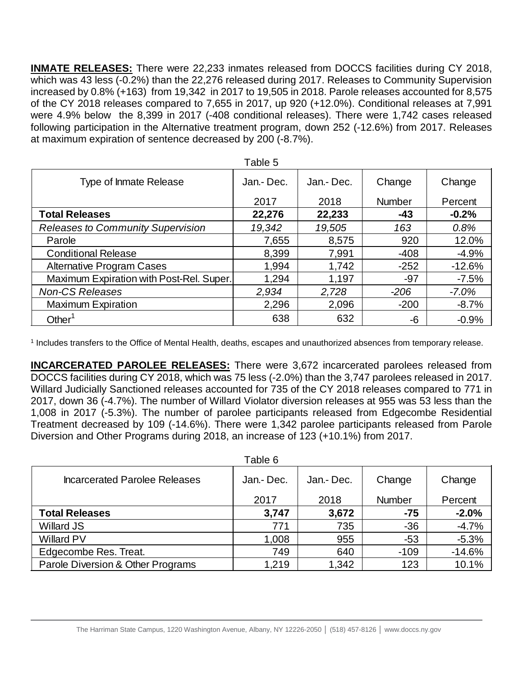**INMATE RELEASES:** There were 22,233 inmates released from DOCCS facilities during CY 2018, which was 43 less (-0.2%) than the 22,276 released during 2017. Releases to Community Supervision increased by 0.8% (+163) from 19,342 in 2017 to 19,505 in 2018. Parole releases accounted for 8,575 of the CY 2018 releases compared to 7,655 in 2017, up 920 (+12.0%). Conditional releases at 7,991 were 4.9% below the 8,399 in 2017 (-408 conditional releases). There were 1,742 cases released following participation in the Alternative treatment program, down 252 (-12.6%) from 2017. Releases at maximum expiration of sentence decreased by 200 (-8.7%).

|                                          | Table 5    |            |               |          |
|------------------------------------------|------------|------------|---------------|----------|
| Type of Inmate Release                   | Jan.- Dec. | Jan.- Dec. | Change        | Change   |
|                                          | 2017       | 2018       | <b>Number</b> | Percent  |
| <b>Total Releases</b>                    | 22,276     | 22,233     | $-43$         | $-0.2%$  |
| <b>Releases to Community Supervision</b> | 19,342     | 19,505     | 163           | 0.8%     |
| Parole                                   | 7,655      | 8,575      | 920           | 12.0%    |
| <b>Conditional Release</b>               | 8,399      | 7,991      | $-408$        | $-4.9%$  |
| <b>Alternative Program Cases</b>         | 1,994      | 1,742      | $-252$        | $-12.6%$ |
| Maximum Expiration with Post-Rel. Super. | 1,294      | 1,197      | $-97$         | $-7.5%$  |
| <b>Non-CS Releases</b>                   | 2,934      | 2,728      | $-206$        | $-7.0%$  |
| <b>Maximum Expiration</b>                | 2,296      | 2,096      | $-200$        | $-8.7%$  |
| Other <sup>1</sup>                       | 638        | 632        | -6            | $-0.9%$  |

1 Includes transfers to the Office of Mental Health, deaths, escapes and unauthorized absences from temporary release.

**INCARCERATED PAROLEE RELEASES:** There were 3,672 incarcerated parolees released from DOCCS facilities during CY 2018, which was 75 less (-2.0%) than the 3,747 parolees released in 2017. Willard Judicially Sanctioned releases accounted for 735 of the CY 2018 releases compared to 771 in 2017, down 36 (-4.7%). The number of Willard Violator diversion releases at 955 was 53 less than the 1,008 in 2017 (-5.3%). The number of parolee participants released from Edgecombe Residential Treatment decreased by 109 (-14.6%). There were 1,342 parolee participants released from Parole Diversion and Other Programs during 2018, an increase of 123 (+10.1%) from 2017.

|                                   | Table 6   |           |               |          |
|-----------------------------------|-----------|-----------|---------------|----------|
| Incarcerated Parolee Releases     | Jan.-Dec. | Jan.-Dec. | Change        | Change   |
|                                   | 2017      | 2018      | <b>Number</b> | Percent  |
| <b>Total Releases</b>             | 3,747     | 3,672     | $-75$         | $-2.0%$  |
| <b>Willard JS</b>                 | 771       | 735       | $-36$         | $-4.7%$  |
| <b>Willard PV</b>                 | 1,008     | 955       | $-53$         | $-5.3%$  |
| Edgecombe Res. Treat.             | 749       | 640       | $-109$        | $-14.6%$ |
| Parole Diversion & Other Programs | 1,219     | 1,342     | 123           | 10.1%    |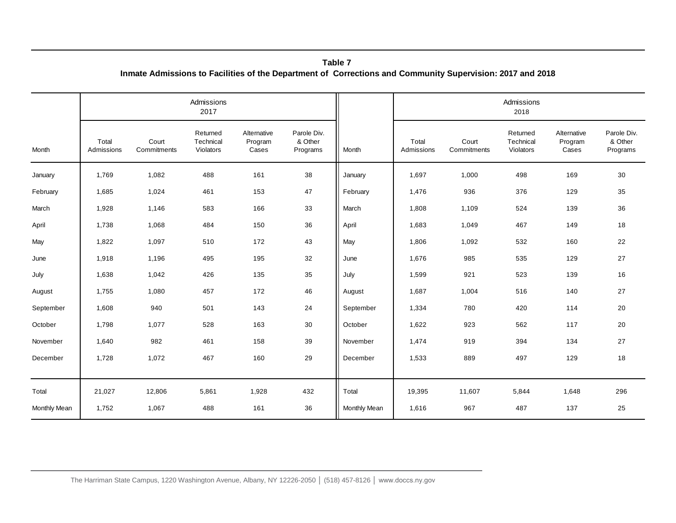|                     |                     |                      | Admissions<br>2017                 |                                 |                                    |              | Admissions<br>2018  |                      |                                    |                                 |                                    |
|---------------------|---------------------|----------------------|------------------------------------|---------------------------------|------------------------------------|--------------|---------------------|----------------------|------------------------------------|---------------------------------|------------------------------------|
| Month               | Total<br>Admissions | Court<br>Commitments | Returned<br>Technical<br>Violators | Alternative<br>Program<br>Cases | Parole Div.<br>& Other<br>Programs | Month        | Total<br>Admissions | Court<br>Commitments | Returned<br>Technical<br>Violators | Alternative<br>Program<br>Cases | Parole Div.<br>& Other<br>Programs |
| January             | 1,769               | 1,082                | 488                                | 161                             | 38                                 | January      | 1,697               | 1,000                | 498                                | 169                             | 30                                 |
| February            | 1,685               | 1,024                | 461                                | 153                             | 47                                 | February     | 1,476               | 936                  | 376                                | 129                             | 35                                 |
| March               | 1,928               | 1,146                | 583                                | 166                             | 33                                 | March        | 1,808               | 1,109                | 524                                | 139                             | 36                                 |
| April               | 1,738               | 1,068                | 484                                | 150                             | 36                                 | April        | 1,683               | 1,049                | 467                                | 149                             | 18                                 |
| May                 | 1,822               | 1,097                | 510                                | 172                             | 43                                 | May          | 1,806               | 1,092                | 532                                | 160                             | 22                                 |
| June                | 1,918               | 1,196                | 495                                | 195                             | 32                                 | June         | 1,676               | 985                  | 535                                | 129                             | 27                                 |
| July                | 1,638               | 1,042                | 426                                | 135                             | 35                                 | July         | 1,599               | 921                  | 523                                | 139                             | 16                                 |
| August              | 1,755               | 1,080                | 457                                | 172                             | 46                                 | August       | 1,687               | 1,004                | 516                                | 140                             | 27                                 |
| September           | 1,608               | 940                  | 501                                | 143                             | 24                                 | September    | 1,334               | 780                  | 420                                | 114                             | 20                                 |
| October             | 1,798               | 1,077                | 528                                | 163                             | 30                                 | October      | 1,622               | 923                  | 562                                | 117                             | 20                                 |
| November            | 1,640               | 982                  | 461                                | 158                             | 39                                 | November     | 1,474               | 919                  | 394                                | 134                             | 27                                 |
| December            | 1,728               | 1,072                | 467                                | 160                             | 29                                 | December     | 1,533               | 889                  | 497                                | 129                             | 18                                 |
| Total               | 21,027              | 12,806               | 5,861                              | 1,928                           | 432                                | Total        | 19,395              | 11,607               | 5,844                              | 1,648                           | 296                                |
| <b>Monthly Mean</b> | 1,752               | 1,067                | 488                                | 161                             | 36                                 | Monthly Mean | 1,616               | 967                  | 487                                | 137                             | 25                                 |

**Inmate Admissions to Facilities of the Department of Corrections and Community Supervision: 2017 and 2018 Table 7**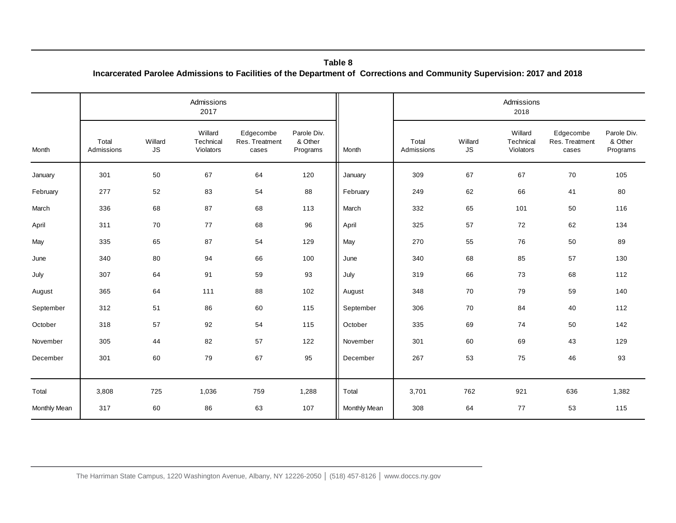| Table 8                                                                                                                 |  |
|-------------------------------------------------------------------------------------------------------------------------|--|
| Incarcerated Parolee Admissions to Facilities of the Department of Corrections and Community Supervision: 2017 and 2018 |  |

|              |                     |                                         |                                   |                                      |                                    | Table 8<br>Incarcerated Parolee Admissions to Facilities of the Department of Corrections and Community Supervision: 2017 and 2018 |                     |                                 |                                   |                                      |                                    |
|--------------|---------------------|-----------------------------------------|-----------------------------------|--------------------------------------|------------------------------------|------------------------------------------------------------------------------------------------------------------------------------|---------------------|---------------------------------|-----------------------------------|--------------------------------------|------------------------------------|
|              |                     |                                         | Admissions<br>2017                |                                      |                                    |                                                                                                                                    |                     |                                 | Admissions<br>2018                |                                      |                                    |
| Month        | Total<br>Admissions | Willard<br>$\mathsf{JS}\hspace{0.04cm}$ | Willard<br>Technical<br>Violators | Edgecombe<br>Res. Treatment<br>cases | Parole Div.<br>& Other<br>Programs | Month                                                                                                                              | Total<br>Admissions | Willard<br>$\mathsf{JS}\xspace$ | Willard<br>Technical<br>Violators | Edgecombe<br>Res. Treatment<br>cases | Parole Div.<br>& Other<br>Programs |
| January      | 301                 | 50                                      | 67                                | 64                                   | 120                                | January                                                                                                                            | 309                 | 67                              | 67                                | 70                                   | 105                                |
| February     | 277                 | 52                                      | 83                                | 54                                   | 88                                 | February                                                                                                                           | 249                 | 62                              | 66                                | 41                                   | 80                                 |
| March        | 336                 | 68                                      | 87                                | 68                                   | 113                                | March                                                                                                                              | 332                 | 65                              | 101                               | 50                                   | 116                                |
| April        | 311                 | 70                                      | $77$                              | 68                                   | 96                                 | April                                                                                                                              | 325                 | 57                              | 72                                | 62                                   | 134                                |
| May          | 335                 | 65                                      | 87                                | 54                                   | 129                                | May                                                                                                                                | 270                 | 55                              | 76                                | 50                                   | 89                                 |
| June         | 340                 | 80                                      | 94                                | 66                                   | 100                                | June                                                                                                                               | 340                 | 68                              | 85                                | 57                                   | 130                                |
| July         | 307                 | 64                                      | 91                                | 59                                   | 93                                 | July                                                                                                                               | 319                 | 66                              | 73                                | 68                                   | 112                                |
| August       | 365                 | 64                                      | 111                               | 88                                   | 102                                | August                                                                                                                             | 348                 | 70                              | 79                                | 59                                   | 140                                |
| September    | 312                 | 51                                      | 86                                | 60                                   | 115                                | September                                                                                                                          | 306                 | 70                              | 84                                | 40                                   | 112                                |
| October      | 318                 | 57                                      | 92                                | 54                                   | 115                                | October                                                                                                                            | 335                 | 69                              | 74                                | 50                                   | 142                                |
| November     | 305                 | 44                                      | 82                                | 57                                   | 122                                | November                                                                                                                           | 301                 | 60                              | 69                                | 43                                   | 129                                |
| December     | 301                 | 60                                      | 79                                | 67                                   | 95                                 | December                                                                                                                           | 267                 | 53                              | 75                                | 46                                   | 93                                 |
| Total        | 3,808               | 725                                     | 1,036                             | 759                                  | 1,288                              | Total                                                                                                                              | 3,701               | 762                             | 921                               | 636                                  | 1,382                              |
| Monthly Mean | 317                 | 60                                      | 86                                | 63                                   | 107                                | Monthly Mean                                                                                                                       | 308                 | 64                              | 77                                | 53                                   | 115                                |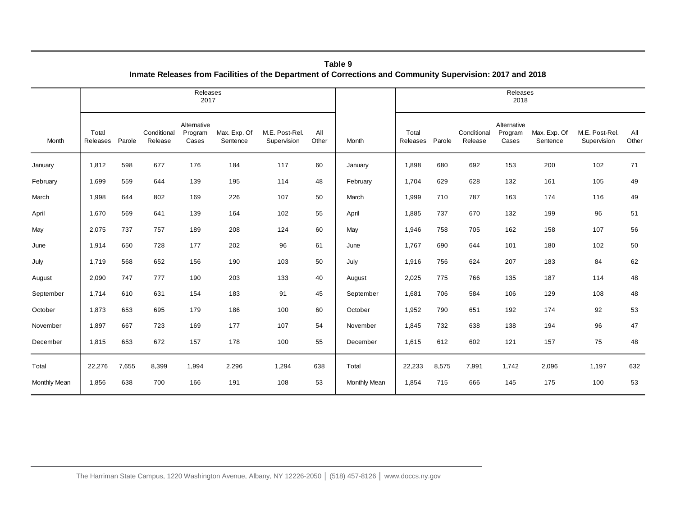|              |                   |        |                                                                                                              | Releases<br>2017                |                          |                               |              |              |                   |        |                        | Releases<br>2018                |                          |                               |              |
|--------------|-------------------|--------|--------------------------------------------------------------------------------------------------------------|---------------------------------|--------------------------|-------------------------------|--------------|--------------|-------------------|--------|------------------------|---------------------------------|--------------------------|-------------------------------|--------------|
| Month        | Total<br>Releases | Parole | Conditional<br>Release                                                                                       | Alternative<br>Program<br>Cases | Max. Exp. Of<br>Sentence | M.E. Post-Rel.<br>Supervision | All<br>Other | Month        | Total<br>Releases | Parole | Conditional<br>Release | Alternative<br>Program<br>Cases | Max. Exp. Of<br>Sentence | M.E. Post-Rel.<br>Supervision | All<br>Other |
| January      | 1,812             | 598    | 677                                                                                                          | 176                             | 184                      | 117                           | 60           | January      | 1,898             | 680    | 692                    | 153                             | 200                      | 102                           | 71           |
| February     | 1,699             | 559    | 644                                                                                                          | 139                             | 195                      | 114                           | 48           | February     | 1,704             | 629    | 628                    | 132                             | 161                      | 105                           | 49           |
| March        | 1,998             | 644    | 802                                                                                                          | 169                             | 226                      | 107                           | 50           | March        | 1,999             | 710    | 787                    | 163                             | 174                      | 116                           | 49           |
| April        | 1,670             | 569    | 641                                                                                                          | 139                             | 164                      | 102                           | 55           | April        | 1,885             | 737    | 670                    | 132                             | 199                      | 96                            | 51           |
| May          | 2,075             | 737    | 757                                                                                                          | 189                             | 208                      | 124                           | 60           | May          | 1,946             | 758    | 705                    | 162                             | 158                      | 107                           | 56           |
| June         | 1,914             | 650    | 728                                                                                                          | 177                             | 202                      | 96                            | 61           | June         | 1,767             | 690    | 644                    | 101                             | 180                      | 102                           | 50           |
| July         | 1,719             | 568    | 652                                                                                                          | 156                             | 190                      | 103                           | 50           | July         | 1,916             | 756    | 624                    | 207                             | 183                      | 84                            | 62           |
| August       | 2,090             | 747    | 777                                                                                                          | 190                             | 203                      | 133                           | 40           | August       | 2,025             | 775    | 766                    | 135                             | 187                      | 114                           | 48           |
| September    | 1,714             | 610    | 631                                                                                                          | 154                             | 183                      | 91                            | 45           | September    | 1,681             | 706    | 584                    | 106                             | 129                      | 108                           | 48           |
| October      | 1,873             | 653    | 695                                                                                                          | 179                             | 186                      | 100                           | 60           | October      | 1,952             | 790    | 651                    | 192                             | 174                      | 92                            | 53           |
| November     | 1,897             | 667    | 723                                                                                                          | 169                             | 177                      | 107                           | 54           | November     | 1,845             | 732    | 638                    | 138                             | 194                      | 96                            | $47\,$       |
| December     | 1,815             | 653    | 672                                                                                                          | 157                             | 178                      | 100                           | 55           | December     | 1,615             | 612    | 602                    | 121                             | 157                      | 75                            | 48           |
| Total        | 22,276            | 7,655  | 8,399                                                                                                        | 1,994                           | 2,296                    | 1,294                         | 638          | Total        | 22,233            | 8,575  | 7,991                  | 1,742                           | 2,096                    | 1,197                         | 632          |
| Monthly Mean | 1,856             | 638    | 700                                                                                                          | 166                             | 191                      | 108                           | 53           | Monthly Mean | 1,854             | 715    | 666                    | 145                             | 175                      | 100                           | 53           |
|              |                   |        | The Harriman State Campus, 1220 Washington Avenue, Albany, NY 12226-2050   (518) 457-8126   www.doccs.ny.gov |                                 |                          |                               |              |              |                   |        |                        |                                 |                          |                               |              |

**Table 9 Inmate Releases from Facilities of the Department of Corrections and Community Supervision: 2017 and 2018**